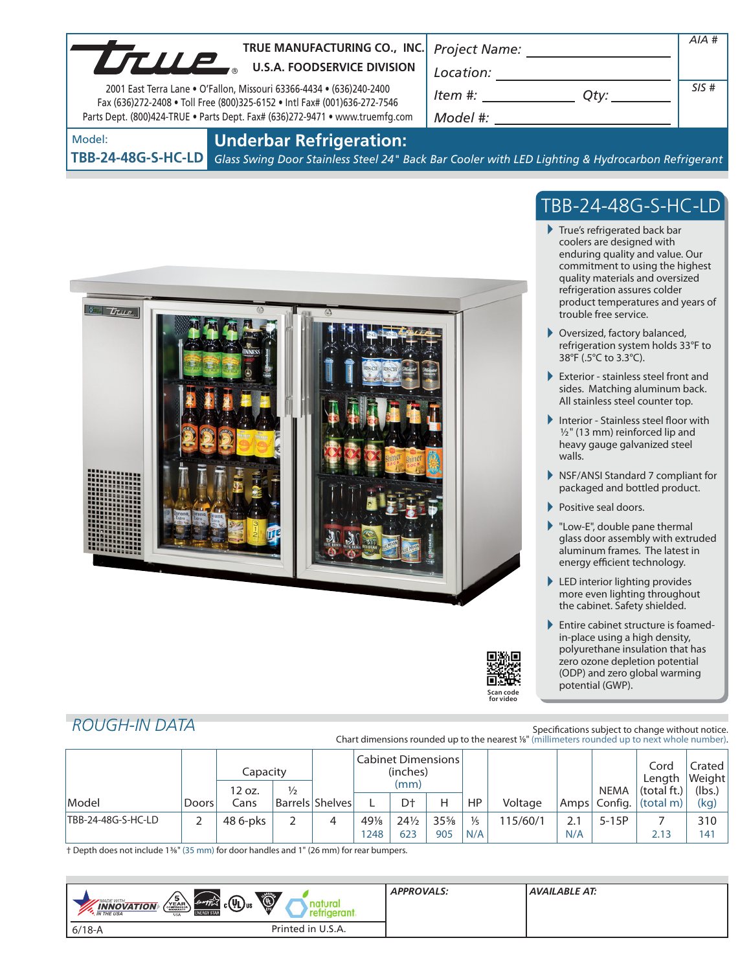| LTULE                        | TRUE MANUFACTURING CO., INC. Project Name:<br><b>U.S.A. FOODSERVICE DIVISION</b><br>2001 East Terra Lane . O'Fallon, Missouri 63366-4434 . (636)240-2400<br>Fax (636)272-2408 . Toll Free (800)325-6152 . Intl Fax# (001)636-272-7546<br>Parts Dept. (800)424-TRUE . Parts Dept. Fax# (636)272-9471 . www.truemfg.com | Location:<br>Item #:<br>$Q$ ty: $\qquad \qquad$<br>Model #:                                      | AIA#<br>SIS# |
|------------------------------|-----------------------------------------------------------------------------------------------------------------------------------------------------------------------------------------------------------------------------------------------------------------------------------------------------------------------|--------------------------------------------------------------------------------------------------|--------------|
| Model:<br>TBB-24-48G-S-HC-LD | <b>Underbar Refrigeration:</b>                                                                                                                                                                                                                                                                                        | Glass Swing Door Stainless Steel 24" Back Bar Cooler with LED Lighting & Hydrocarbon Refrigerant |              |

 $\overline{L}$ 



1248 623 905 N/A N/A 2.13 141

## TBB-24-48G-S-HC-LD

- True's refrigerated back bar coolers are designed with enduring quality and value. Our commitment to using the highest quality materials and oversized refrigeration assures colder product temperatures and years of trouble free service.
- ▶ Oversized, factory balanced, refrigeration system holds 33°F to 38°F (.5°C to 3.3°C).
- Exterior stainless steel front and sides. Matching aluminum back. All stainless steel counter top.
- Interior Stainless steel floor with  $1/2$ " (13 mm) reinforced lip and heavy gauge galvanized steel walls.
- NSF/ANSI Standard 7 compliant for packaged and bottled product.
- Positive seal doors.
- "Low-E", double pane thermal glass door assembly with extruded aluminum frames. The latest in energy efficient technology.
- ▶ LED interior lighting provides more even lighting throughout the cabinet. Safety shielded.
- ▶ Entire cabinet structure is foamedin-place using a high density, polyurethane insulation that has zero ozone depletion potential (ODP) and zero global warming potential (GWP).

### *ROUGH-IN DATA*

| KUUGH-IIV DATA     |       |                                     |  |                                               |     |                 |     |               | Chart dimensions rounded up to the nearest 1/8" (millimeters rounded up to next whole number). |                            | Specifications subject to change without notice. |      |
|--------------------|-------|-------------------------------------|--|-----------------------------------------------|-----|-----------------|-----|---------------|------------------------------------------------------------------------------------------------|----------------------------|--------------------------------------------------|------|
|                    |       | Capacity<br>$\frac{1}{2}$<br>12 oz. |  | <b>Cabinet Dimensions</b><br>(inches)<br>(mm) |     |                 |     | NEMA          | Cord<br>Length<br>(total ft.)                                                                  | Crated<br>Weight<br>(lbs.) |                                                  |      |
| Model              | Doors | Cans                                |  | <b>Barrels Shelves</b>                        |     | D <sup>+</sup>  | н   | <b>HP</b>     | Voltage                                                                                        |                            | Amps   Config.   (total m)                       | (kg) |
| TBB-24-48G-S-HC-LD |       | 48 6-pks                            |  | 4                                             | 49% | $24\frac{1}{2}$ | 35% | $\frac{1}{5}$ | 115/60/1                                                                                       | $5 - 15P$                  |                                                  | 310  |

† Depth does not include 13/8" (35 mm) for door handles and 1" (26 mm) for rear bumpers.

| Ó<br>$\sqrt{\frac{5}{\text{YEAR}}}\$<br>$c(\hat{\mathsf{U}})$ us<br>energy<br>MADE WITH.<br>natura<br><b>INNOVATION</b><br>ٮ<br><b>ENERGY STAI</b><br>erant.<br>eirio<br>*. IN THE USA<br><b>USA</b> | <b>APPROVALS:</b> | AVAILABLE AT: |
|------------------------------------------------------------------------------------------------------------------------------------------------------------------------------------------------------|-------------------|---------------|
| Printed in U.S.A.<br>$6/18 - A$                                                                                                                                                                      |                   |               |